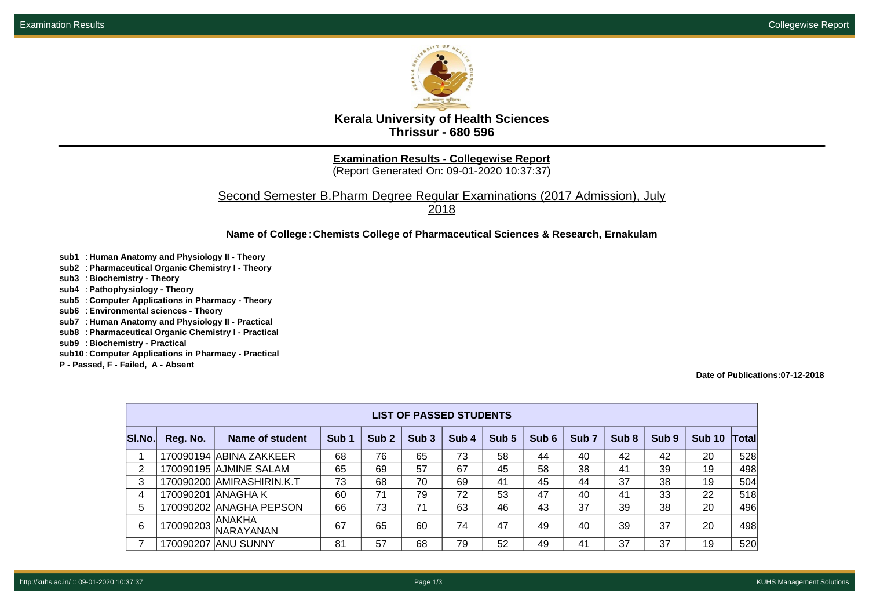

**Kerala University of Health Sciences Thrissur - 680 596**

**Examination Results - Collegewise Report**

(Report Generated On: 09-01-2020 10:37:37)

Second Semester B.Pharm Degree Regular Examinations (2017 Admission), July 2018

**Name of College**: **Chemists College of Pharmaceutical Sciences & Research, Ernakulam**

- **sub1** : **Human Anatomy and Physiology II Theory**
- **sub2** : **Pharmaceutical Organic Chemistry I Theory**
- **sub3** : **Biochemistry Theory**
- **sub4** : **Pathophysiology Theory**
- **sub5** : **Computer Applications in Pharmacy Theory**
- **sub6** : **Environmental sciences Theory**
- **sub7** : **Human Anatomy and Physiology II Practical**
- **sub8** : **Pharmaceutical Organic Chemistry I Practical**
- **sub9** : **Biochemistry Practical**
- **sub10** : **Computer Applications in Pharmacy Practical**
- **P Passed, F Failed, A Absent**

**Date of Publications:07-12-2018**

| <b>LIST OF PASSED STUDENTS</b> |           |                           |                  |                  |                  |                  |       |       |                  |                  |       |        |       |
|--------------------------------|-----------|---------------------------|------------------|------------------|------------------|------------------|-------|-------|------------------|------------------|-------|--------|-------|
| SI.No.                         | Reg. No.  | Name of student           | Sub <sub>1</sub> | Sub <sub>2</sub> | Sub <sub>3</sub> | Sub <sub>4</sub> | Sub 5 | Sub 6 | Sub <sub>7</sub> | Sub <sub>8</sub> | Sub 9 | Sub 10 | Total |
|                                |           | 170090194 ABINA ZAKKEER   | 68               | 76               | 65               | 73               | 58    | 44    | 40               | 42               | 42    | 20     | 528   |
| 2                              |           | 170090195 AJMINE SALAM    | 65               | 69               | 57               | 67               | 45    | 58    | 38               | 41               | 39    | 19     | 498   |
| 3                              |           | 170090200 AMIRASHIRIN.K.T | 73               | 68               | 70               | 69               | 41    | 45    | 44               | 37               | 38    | 19     | 504   |
| 4                              | 170090201 | IANAGHA K                 | 60               | 71               | 79               | 72               | 53    | 47    | 40               | 41               | 33    | 22     | 518   |
| 5                              |           | 170090202 ANAGHA PEPSON   | 66               | 73               | 71               | 63               | 46    | 43    | 37               | 39               | 38    | 20     | 496   |
| 6                              | 170090203 | ANAKHA<br>NARAYANAN       | 67               | 65               | 60               | 74               | 47    | 49    | 40               | 39               | 37    | 20     | 498   |
|                                |           | 170090207 ANU SUNNY       | 81               | 57               | 68               | 79               | 52    | 49    | 41               | 37               | 37    | 19     | 520   |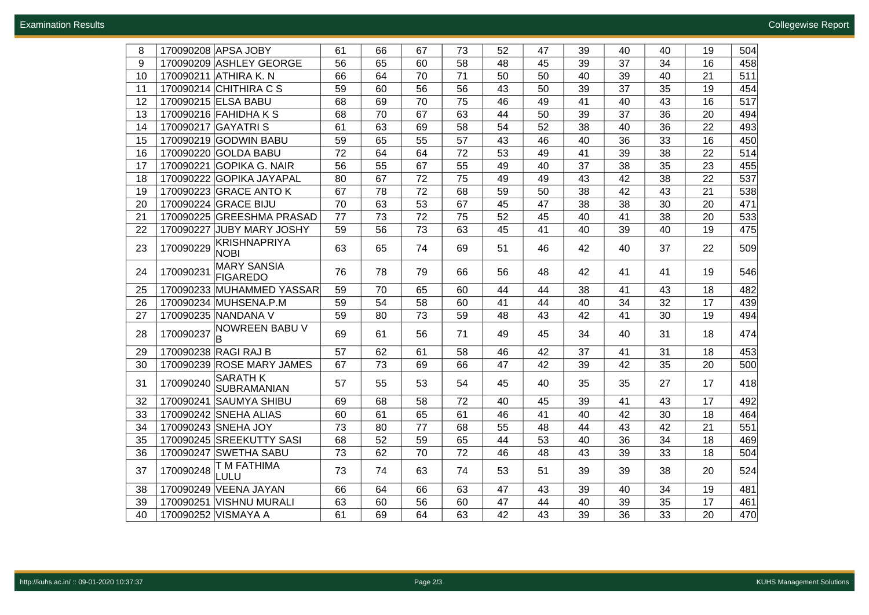| 8  | 170090208 APSA JOBY                                | 61 | 66 | 67 | 73 | 52 | 47 | 39 | 40 | 40 | 19 | 504 |
|----|----------------------------------------------------|----|----|----|----|----|----|----|----|----|----|-----|
| 9  | 170090209 ASHLEY GEORGE                            | 56 | 65 | 60 | 58 | 48 | 45 | 39 | 37 | 34 | 16 | 458 |
| 10 | 170090211 ATHIRA K. N                              | 66 | 64 | 70 | 71 | 50 | 50 | 40 | 39 | 40 | 21 | 511 |
| 11 | 170090214 CHITHIRA C S                             | 59 | 60 | 56 | 56 | 43 | 50 | 39 | 37 | 35 | 19 | 454 |
| 12 | 170090215 ELSA BABU                                | 68 | 69 | 70 | 75 | 46 | 49 | 41 | 40 | 43 | 16 | 517 |
| 13 | 170090216 FAHIDHA K S                              | 68 | 70 | 67 | 63 | 44 | 50 | 39 | 37 | 36 | 20 | 494 |
| 14 | 170090217 GAYATRIS                                 | 61 | 63 | 69 | 58 | 54 | 52 | 38 | 40 | 36 | 22 | 493 |
| 15 | 170090219 GODWIN BABU                              | 59 | 65 | 55 | 57 | 43 | 46 | 40 | 36 | 33 | 16 | 450 |
| 16 | 170090220 GOLDA BABU                               | 72 | 64 | 64 | 72 | 53 | 49 | 41 | 39 | 38 | 22 | 514 |
| 17 | 170090221 GOPIKA G. NAIR                           | 56 | 55 | 67 | 55 | 49 | 40 | 37 | 38 | 35 | 23 | 455 |
| 18 | 170090222 GOPIKA JAYAPAL                           | 80 | 67 | 72 | 75 | 49 | 49 | 43 | 42 | 38 | 22 | 537 |
| 19 | 170090223 GRACE ANTO K                             | 67 | 78 | 72 | 68 | 59 | 50 | 38 | 42 | 43 | 21 | 538 |
| 20 | 170090224 GRACE BIJU                               | 70 | 63 | 53 | 67 | 45 | 47 | 38 | 38 | 30 | 20 | 471 |
| 21 | 170090225 GREESHMA PRASAD                          | 77 | 73 | 72 | 75 | 52 | 45 | 40 | 41 | 38 | 20 | 533 |
| 22 | 170090227 JUBY MARY JOSHY                          | 59 | 56 | 73 | 63 | 45 | 41 | 40 | 39 | 40 | 19 | 475 |
| 23 | KRISHNAPRIYA<br>170090229<br><b>NOBI</b>           | 63 | 65 | 74 | 69 | 51 | 46 | 42 | 40 | 37 | 22 | 509 |
| 24 | <b>MARY SANSIA</b><br>170090231<br><b>FIGAREDO</b> | 76 | 78 | 79 | 66 | 56 | 48 | 42 | 41 | 41 | 19 | 546 |
| 25 | 170090233 MUHAMMED YASSAR                          | 59 | 70 | 65 | 60 | 44 | 44 | 38 | 41 | 43 | 18 | 482 |
| 26 | 170090234 MUHSENA.P.M                              | 59 | 54 | 58 | 60 | 41 | 44 | 40 | 34 | 32 | 17 | 439 |
| 27 | 170090235 NANDANA V                                | 59 | 80 | 73 | 59 | 48 | 43 | 42 | 41 | 30 | 19 | 494 |
| 28 | <b>NOWREEN BABU V</b><br>170090237<br>B            | 69 | 61 | 56 | 71 | 49 | 45 | 34 | 40 | 31 | 18 | 474 |
| 29 | 170090238 RAGI RAJ B                               | 57 | 62 | 61 | 58 | 46 | 42 | 37 | 41 | 31 | 18 | 453 |
| 30 | 170090239 ROSE MARY JAMES                          | 67 | 73 | 69 | 66 | 47 | 42 | 39 | 42 | 35 | 20 | 500 |
| 31 | <b>SARATH K</b><br>170090240<br><b>SUBRAMANIAN</b> | 57 | 55 | 53 | 54 | 45 | 40 | 35 | 35 | 27 | 17 | 418 |
| 32 | 170090241<br><b>SAUMYA SHIBU</b>                   | 69 | 68 | 58 | 72 | 40 | 45 | 39 | 41 | 43 | 17 | 492 |
| 33 | 170090242 SNEHA ALIAS                              | 60 | 61 | 65 | 61 | 46 | 41 | 40 | 42 | 30 | 18 | 464 |
| 34 | 170090243 SNEHA JOY                                | 73 | 80 | 77 | 68 | 55 | 48 | 44 | 43 | 42 | 21 | 551 |
| 35 | 170090245 SREEKUTTY SASI                           | 68 | 52 | 59 | 65 | 44 | 53 | 40 | 36 | 34 | 18 | 469 |
| 36 | 170090247 SWETHA SABU                              | 73 | 62 | 70 | 72 | 46 | 48 | 43 | 39 | 33 | 18 | 504 |
| 37 | T M FATHIMA<br>170090248<br>LULU                   | 73 | 74 | 63 | 74 | 53 | 51 | 39 | 39 | 38 | 20 | 524 |
| 38 | 170090249 VEENA JAYAN                              | 66 | 64 | 66 | 63 | 47 | 43 | 39 | 40 | 34 | 19 | 481 |
| 39 | <b>VISHNU MURALI</b><br>170090251                  | 63 | 60 | 56 | 60 | 47 | 44 | 40 | 39 | 35 | 17 | 461 |
| 40 | 170090252 VISMAYA A                                | 61 | 69 | 64 | 63 | 42 | 43 | 39 | 36 | 33 | 20 | 470 |